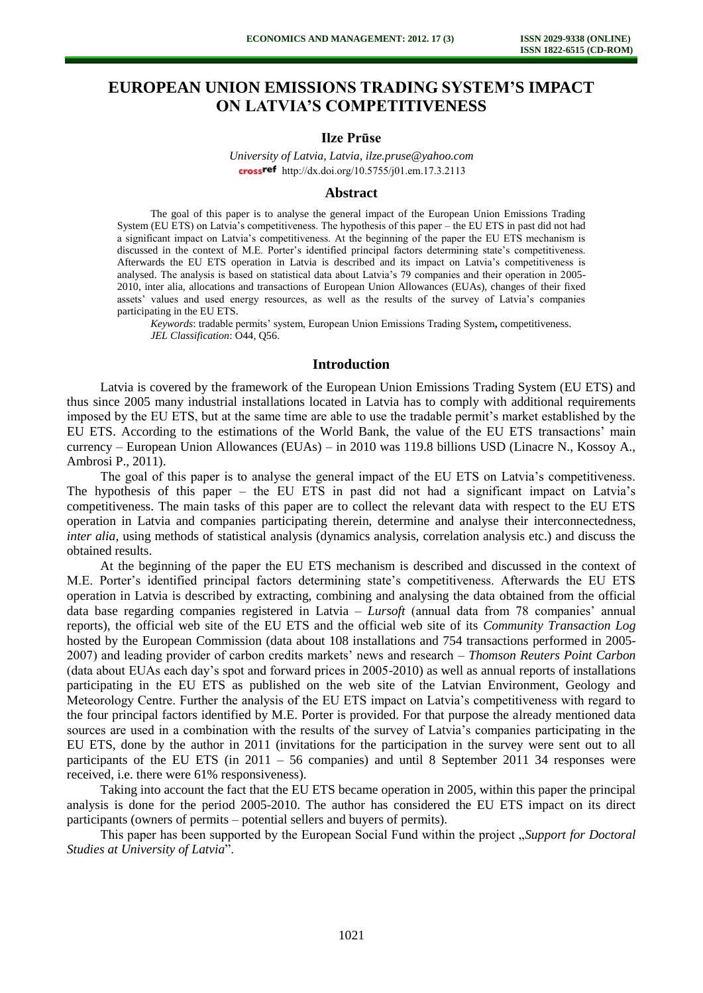# **EUROPEAN UNION EMISSIONS TRADING SYSTEM'S IMPACT ON LATVIA'S COMPETITIVENESS**

## **Ilze Prūse**

*University of Latvia, Latvia, ilze.pruse@yahoo.com*  cross<sup>ref</sup> [http://dx.doi.org/10.5755/j01.e](http://dx.doi.org/10.5755/j01.em.17.3.2113)m.17.3.2113

# **Abstract**

The goal of this paper is to analyse the general impact of the European Union Emissions Trading System (EU ETS) on Latvia's competitiveness. The hypothesis of this paper – the EU ETS in past did not had a significant impact on Latvia's competitiveness. At the beginning of the paper the EU ETS mechanism is discussed in the context of M.E. Porter's identified principal factors determining state's competitiveness. Afterwards the EU ETS operation in Latvia is described and its impact on Latvia's competitiveness is analysed. The analysis is based on statistical data about Latvia's 79 companies and their operation in 2005- 2010, inter alia, allocations and transactions of European Union Allowances (EUAs), changes of their fixed assets' values and used energy resources, as well as the results of the survey of Latvia's companies participating in the EU ETS.

*Keywords*: tradable permits' system, European Union Emissions Trading System**,** competitiveness. *JEL Classification*: O44, Q56.

#### **Introduction**

Latvia is covered by the framework of the European Union Emissions Trading System (EU ETS) and thus since 2005 many industrial installations located in Latvia has to comply with additional requirements imposed by the EU ETS, but at the same time are able to use the tradable permit's market established by the EU ETS. According to the estimations of the World Bank, the value of the EU ETS transactions' main currency – European Union Allowances (EUAs) – in 2010 was 119.8 billions USD (Linacre N., Kossoy A., Ambrosi P., 2011).

The goal of this paper is to analyse the general impact of the EU ETS on Latvia's competitiveness. The hypothesis of this paper – the EU ETS in past did not had a significant impact on Latvia's competitiveness. The main tasks of this paper are to collect the relevant data with respect to the EU ETS operation in Latvia and companies participating therein, determine and analyse their interconnectedness, *inter alia*, using methods of statistical analysis (dynamics analysis, correlation analysis etc.) and discuss the obtained results.

At the beginning of the paper the EU ETS mechanism is described and discussed in the context of M.E. Porter's identified principal factors determining state's competitiveness. Afterwards the EU ETS operation in Latvia is described by extracting, combining and analysing the data obtained from the official data base regarding companies registered in Latvia – *Lursoft* (annual data from 78 companies' annual reports), the official web site of the EU ETS and the official web site of its *Community Transaction Log* hosted by the European Commission (data about 108 installations and 754 transactions performed in 2005- 2007) and leading provider of carbon credits markets' news and research – *Thomson Reuters Point Carbon* (data about EUAs each day's spot and forward prices in 2005-2010) as well as annual reports of installations participating in the EU ETS as published on the web site of the Latvian Environment, Geology and Meteorology Centre. Further the analysis of the EU ETS impact on Latvia's competitiveness with regard to the four principal factors identified by M.E. Porter is provided. For that purpose the already mentioned data sources are used in a combination with the results of the survey of Latvia's companies participating in the EU ETS, done by the author in 2011 (invitations for the participation in the survey were sent out to all participants of the EU ETS (in 2011 – 56 companies) and until 8 September 2011 34 responses were received, i.e. there were 61% responsiveness).

Taking into account the fact that the EU ETS became operation in 2005, within this paper the principal analysis is done for the period 2005-2010. The author has considered the EU ETS impact on its direct participants (owners of permits – potential sellers and buyers of permits).

This paper has been supported by the European Social Fund within the project "*Support for Doctoral Studies at University of Latvia*".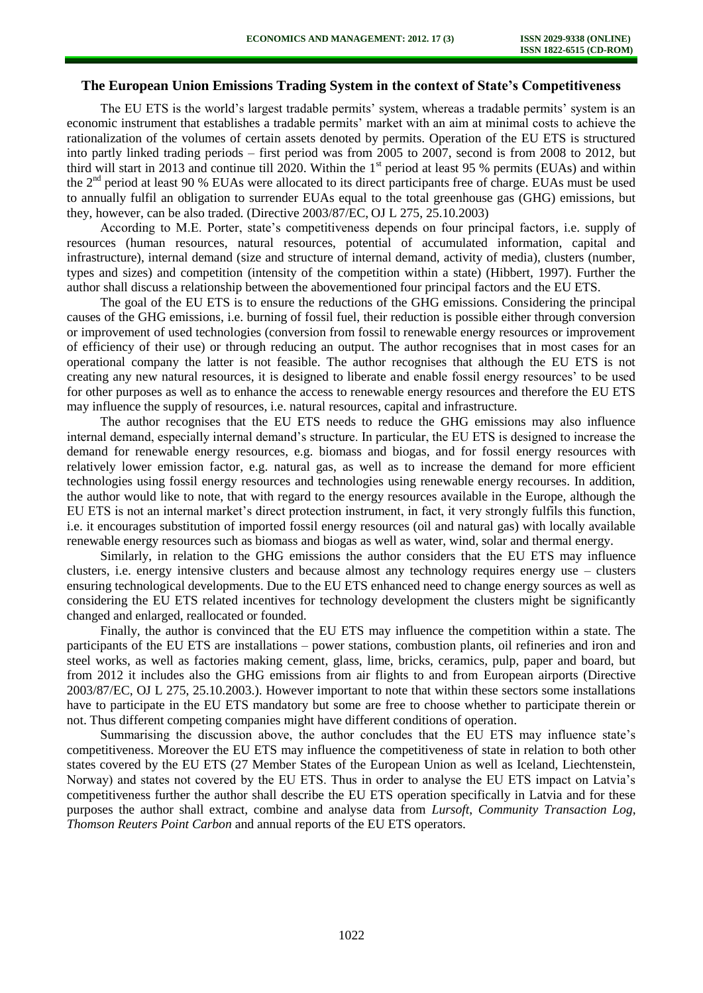# **The European Union Emissions Trading System in the context of State's Competitiveness**

The EU ETS is the world's largest tradable permits' system, whereas a tradable permits' system is an economic instrument that establishes a tradable permits' market with an aim at minimal costs to achieve the rationalization of the volumes of certain assets denoted by permits. Operation of the EU ETS is structured into partly linked trading periods – first period was from 2005 to 2007, second is from 2008 to 2012, but third will start in 2013 and continue till 2020. Within the  $1<sup>st</sup>$  period at least 95 % permits (EUAs) and within the 2<sup>nd</sup> period at least 90 % EUAs were allocated to its direct participants free of charge. EUAs must be used to annually fulfil an obligation to surrender EUAs equal to the total greenhouse gas (GHG) emissions, but they, however, can be also traded. (Directive 2003/87/EC, OJ L 275, 25.10.2003)

According to M.E. Porter, state's competitiveness depends on four principal factors, i.e. supply of resources (human resources, natural resources, potential of accumulated information, capital and infrastructure), internal demand (size and structure of internal demand, activity of media), clusters (number, types and sizes) and competition (intensity of the competition within a state) (Hibbert, 1997). Further the author shall discuss a relationship between the abovementioned four principal factors and the EU ETS.

The goal of the EU ETS is to ensure the reductions of the GHG emissions. Considering the principal causes of the GHG emissions, i.e. burning of fossil fuel, their reduction is possible either through conversion or improvement of used technologies (conversion from fossil to renewable energy resources or improvement of efficiency of their use) or through reducing an output. The author recognises that in most cases for an operational company the latter is not feasible. The author recognises that although the EU ETS is not creating any new natural resources, it is designed to liberate and enable fossil energy resources' to be used for other purposes as well as to enhance the access to renewable energy resources and therefore the EU ETS may influence the supply of resources, i.e. natural resources, capital and infrastructure.

The author recognises that the EU ETS needs to reduce the GHG emissions may also influence internal demand, especially internal demand's structure. In particular, the EU ETS is designed to increase the demand for renewable energy resources, e.g. biomass and biogas, and for fossil energy resources with relatively lower emission factor, e.g. natural gas, as well as to increase the demand for more efficient technologies using fossil energy resources and technologies using renewable energy recourses. In addition, the author would like to note, that with regard to the energy resources available in the Europe, although the EU ETS is not an internal market's direct protection instrument, in fact, it very strongly fulfils this function, i.e. it encourages substitution of imported fossil energy resources (oil and natural gas) with locally available renewable energy resources such as biomass and biogas as well as water, wind, solar and thermal energy.

Similarly, in relation to the GHG emissions the author considers that the EU ETS may influence clusters, i.e. energy intensive clusters and because almost any technology requires energy use – clusters ensuring technological developments. Due to the EU ETS enhanced need to change energy sources as well as considering the EU ETS related incentives for technology development the clusters might be significantly changed and enlarged, reallocated or founded.

Finally, the author is convinced that the EU ETS may influence the competition within a state. The participants of the EU ETS are installations – power stations, combustion plants, oil refineries and iron and steel works, as well as factories making cement, glass, lime, bricks, ceramics, pulp, paper and board, but from 2012 it includes also the GHG emissions from air flights to and from European airports (Directive 2003/87/EC, OJ L 275, 25.10.2003.). However important to note that within these sectors some installations have to participate in the EU ETS mandatory but some are free to choose whether to participate therein or not. Thus different competing companies might have different conditions of operation.

Summarising the discussion above, the author concludes that the EU ETS may influence state's competitiveness. Moreover the EU ETS may influence the competitiveness of state in relation to both other states covered by the EU ETS (27 Member States of the European Union as well as Iceland, Liechtenstein, Norway) and states not covered by the EU ETS. Thus in order to analyse the EU ETS impact on Latvia's competitiveness further the author shall describe the EU ETS operation specifically in Latvia and for these purposes the author shall extract, combine and analyse data from *Lursoft*, *Community Transaction Log*, *Thomson Reuters Point Carbon* and annual reports of the EU ETS operators.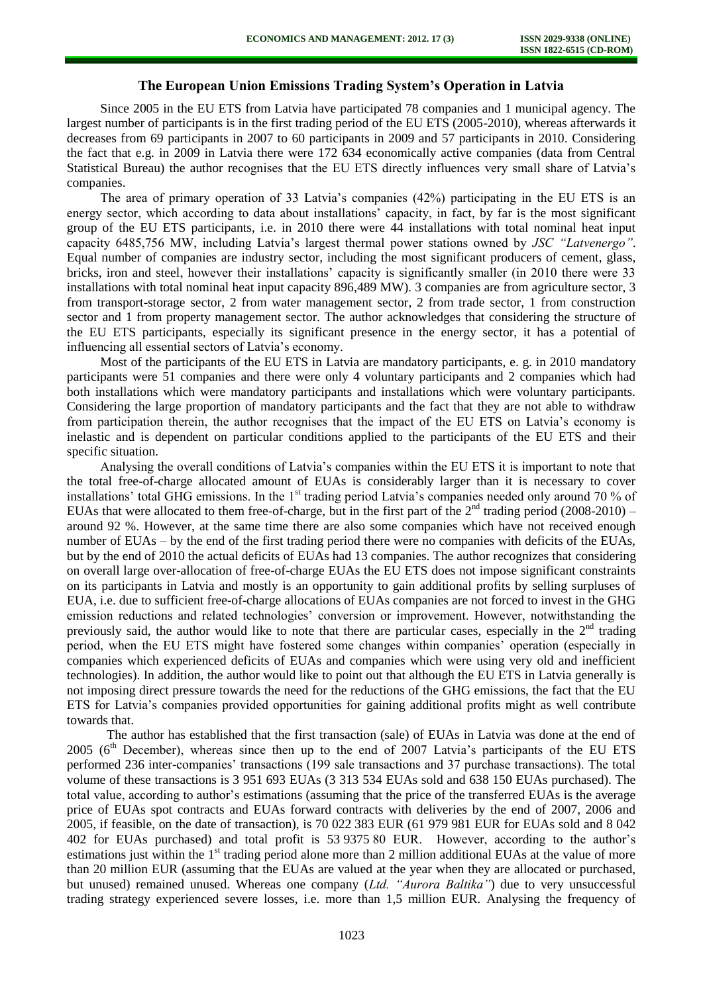## **The European Union Emissions Trading System's Operation in Latvia**

Since 2005 in the EU ETS from Latvia have participated 78 companies and 1 municipal agency. The largest number of participants is in the first trading period of the EU ETS (2005-2010), whereas afterwards it decreases from 69 participants in 2007 to 60 participants in 2009 and 57 participants in 2010. Considering the fact that e.g. in 2009 in Latvia there were 172 634 economically active companies (data from Central Statistical Bureau) the author recognises that the EU ETS directly influences very small share of Latvia's companies.

The area of primary operation of 33 Latvia's companies (42%) participating in the EU ETS is an energy sector, which according to data about installations' capacity, in fact, by far is the most significant group of the EU ETS participants, i.e. in 2010 there were 44 installations with total nominal heat input capacity 6485,756 MW, including Latvia's largest thermal power stations owned by *JSC "Latvenergo"*. Equal number of companies are industry sector, including the most significant producers of cement, glass, bricks, iron and steel, however their installations' capacity is significantly smaller (in 2010 there were 33 installations with total nominal heat input capacity 896,489 MW). 3 companies are from agriculture sector, 3 from transport-storage sector, 2 from water management sector, 2 from trade sector, 1 from construction sector and 1 from property management sector. The author acknowledges that considering the structure of the EU ETS participants, especially its significant presence in the energy sector, it has a potential of influencing all essential sectors of Latvia's economy.

Most of the participants of the EU ETS in Latvia are mandatory participants, e. g. in 2010 mandatory participants were 51 companies and there were only 4 voluntary participants and 2 companies which had both installations which were mandatory participants and installations which were voluntary participants. Considering the large proportion of mandatory participants and the fact that they are not able to withdraw from participation therein, the author recognises that the impact of the EU ETS on Latvia's economy is inelastic and is dependent on particular conditions applied to the participants of the EU ETS and their specific situation.

Analysing the overall conditions of Latvia's companies within the EU ETS it is important to note that the total free-of-charge allocated amount of EUAs is considerably larger than it is necessary to cover installations' total GHG emissions. In the 1<sup>st</sup> trading period Latvia's companies needed only around 70 % of EUAs that were allocated to them free-of-charge, but in the first part of the  $2^{nd}$  trading period (2008-2010) – around 92 %. However, at the same time there are also some companies which have not received enough number of EUAs – by the end of the first trading period there were no companies with deficits of the EUAs, but by the end of 2010 the actual deficits of EUAs had 13 companies. The author recognizes that considering on overall large over-allocation of free-of-charge EUAs the EU ETS does not impose significant constraints on its participants in Latvia and mostly is an opportunity to gain additional profits by selling surpluses of EUA, i.e. due to sufficient free-of-charge allocations of EUAs companies are not forced to invest in the GHG emission reductions and related technologies' conversion or improvement. However, notwithstanding the previously said, the author would like to note that there are particular cases, especially in the  $2<sup>nd</sup>$  trading period, when the EU ETS might have fostered some changes within companies' operation (especially in companies which experienced deficits of EUAs and companies which were using very old and inefficient technologies). In addition, the author would like to point out that although the EU ETS in Latvia generally is not imposing direct pressure towards the need for the reductions of the GHG emissions, the fact that the EU ETS for Latvia's companies provided opportunities for gaining additional profits might as well contribute towards that.

 The author has established that the first transaction (sale) of EUAs in Latvia was done at the end of 2005 ( $6<sup>th</sup>$  December), whereas since then up to the end of 2007 Latvia's participants of the EU ETS performed 236 inter-companies' transactions (199 sale transactions and 37 purchase transactions). The total volume of these transactions is 3 951 693 EUAs (3 313 534 EUAs sold and 638 150 EUAs purchased). The total value, according to author's estimations (assuming that the price of the transferred EUAs is the average price of EUAs spot contracts and EUAs forward contracts with deliveries by the end of 2007, 2006 and 2005, if feasible, on the date of transaction), is 70 022 383 EUR (61 979 981 EUR for EUAs sold and 8 042 402 for EUAs purchased) and total profit is 53 9375 80 EUR. However, according to the author's estimations just within the 1<sup>st</sup> trading period alone more than 2 million additional EUAs at the value of more than 20 million EUR (assuming that the EUAs are valued at the year when they are allocated or purchased, but unused) remained unused. Whereas one company (*Ltd. "Aurora Baltika"*) due to very unsuccessful trading strategy experienced severe losses, i.e. more than 1,5 million EUR. Analysing the frequency of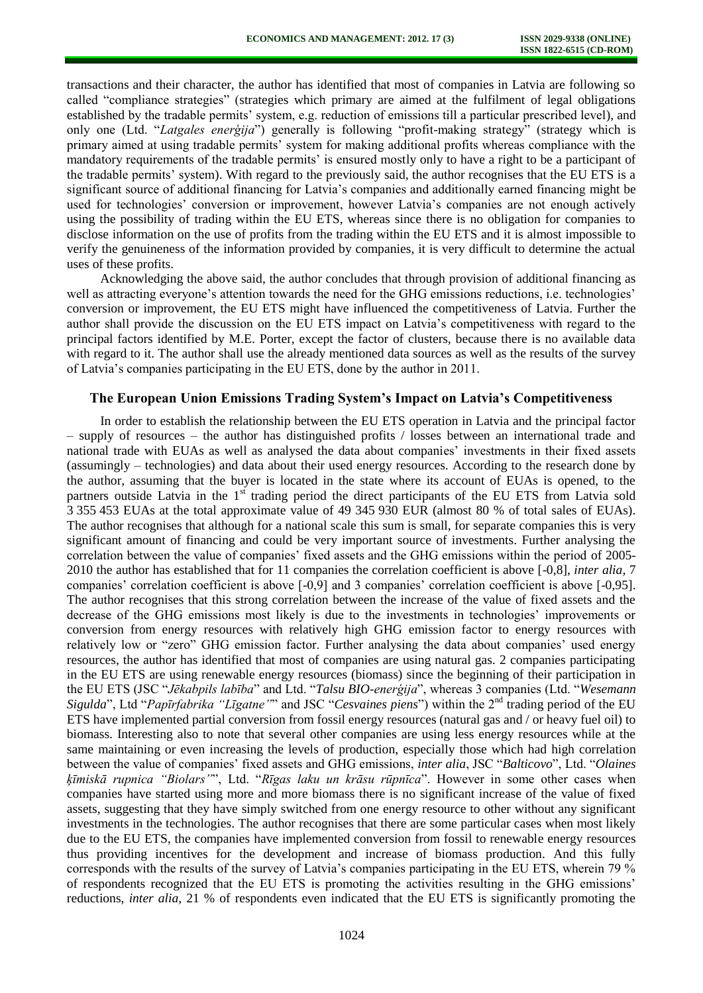transactions and their character, the author has identified that most of companies in Latvia are following so called "compliance strategies" (strategies which primary are aimed at the fulfilment of legal obligations established by the tradable permits' system, e.g. reduction of emissions till a particular prescribed level), and only one (Ltd. "*Latgales enerģija*") generally is following "profit-making strategy" (strategy which is primary aimed at using tradable permits' system for making additional profits whereas compliance with the mandatory requirements of the tradable permits' is ensured mostly only to have a right to be a participant of the tradable permits' system). With regard to the previously said, the author recognises that the EU ETS is a significant source of additional financing for Latvia's companies and additionally earned financing might be used for technologies' conversion or improvement, however Latvia's companies are not enough actively using the possibility of trading within the EU ETS, whereas since there is no obligation for companies to disclose information on the use of profits from the trading within the EU ETS and it is almost impossible to verify the genuineness of the information provided by companies, it is very difficult to determine the actual uses of these profits.

Acknowledging the above said, the author concludes that through provision of additional financing as well as attracting everyone's attention towards the need for the GHG emissions reductions, i.e. technologies' conversion or improvement, the EU ETS might have influenced the competitiveness of Latvia. Further the author shall provide the discussion on the EU ETS impact on Latvia's competitiveness with regard to the principal factors identified by M.E. Porter, except the factor of clusters, because there is no available data with regard to it. The author shall use the already mentioned data sources as well as the results of the survey of Latvia's companies participating in the EU ETS, done by the author in 2011.

### **The European Union Emissions Trading System's Impact on Latvia's Competitiveness**

In order to establish the relationship between the EU ETS operation in Latvia and the principal factor – supply of resources – the author has distinguished profits / losses between an international trade and national trade with EUAs as well as analysed the data about companies' investments in their fixed assets (assumingly – technologies) and data about their used energy resources. According to the research done by the author, assuming that the buyer is located in the state where its account of EUAs is opened, to the partners outside Latvia in the 1<sup>st</sup> trading period the direct participants of the EU ETS from Latvia sold 3 355 453 EUAs at the total approximate value of 49 345 930 EUR (almost 80 % of total sales of EUAs). The author recognises that although for a national scale this sum is small, for separate companies this is very significant amount of financing and could be very important source of investments. Further analysing the correlation between the value of companies' fixed assets and the GHG emissions within the period of 2005- 2010 the author has established that for 11 companies the correlation coefficient is above [-0,8], *inter alia,* 7 companies' correlation coefficient is above [-0,9] and 3 companies' correlation coefficient is above [-0,95]. The author recognises that this strong correlation between the increase of the value of fixed assets and the decrease of the GHG emissions most likely is due to the investments in technologies' improvements or conversion from energy resources with relatively high GHG emission factor to energy resources with relatively low or "zero" GHG emission factor. Further analysing the data about companies' used energy resources, the author has identified that most of companies are using natural gas. 2 companies participating in the EU ETS are using renewable energy resources (biomass) since the beginning of their participation in the EU ETS (JSC "*Jēkabpils labība*" and Ltd. "*Talsu BIO-enerģija*", whereas 3 companies (Ltd. "*Wesemann Sigulda*", Ltd "*Papīrfabrika "Līgatne"*" and JSC "*Cesvaines piens*") within the 2nd trading period of the EU ETS have implemented partial conversion from fossil energy resources (natural gas and / or heavy fuel oil) to biomass. Interesting also to note that several other companies are using less energy resources while at the same maintaining or even increasing the levels of production, especially those which had high correlation between the value of companies' fixed assets and GHG emissions, *inter alia*, JSC "*Balticovo*", Ltd. "*Olaines ķīmiskā rupnica "Biolars"*", Ltd. "*Rīgas laku un krāsu rūpnīca*". However in some other cases when companies have started using more and more biomass there is no significant increase of the value of fixed assets, suggesting that they have simply switched from one energy resource to other without any significant investments in the technologies. The author recognises that there are some particular cases when most likely due to the EU ETS, the companies have implemented conversion from fossil to renewable energy resources thus providing incentives for the development and increase of biomass production. And this fully corresponds with the results of the survey of Latvia's companies participating in the EU ETS, wherein 79 % of respondents recognized that the EU ETS is promoting the activities resulting in the GHG emissions' reductions, *inter alia,* 21 % of respondents even indicated that the EU ETS is significantly promoting the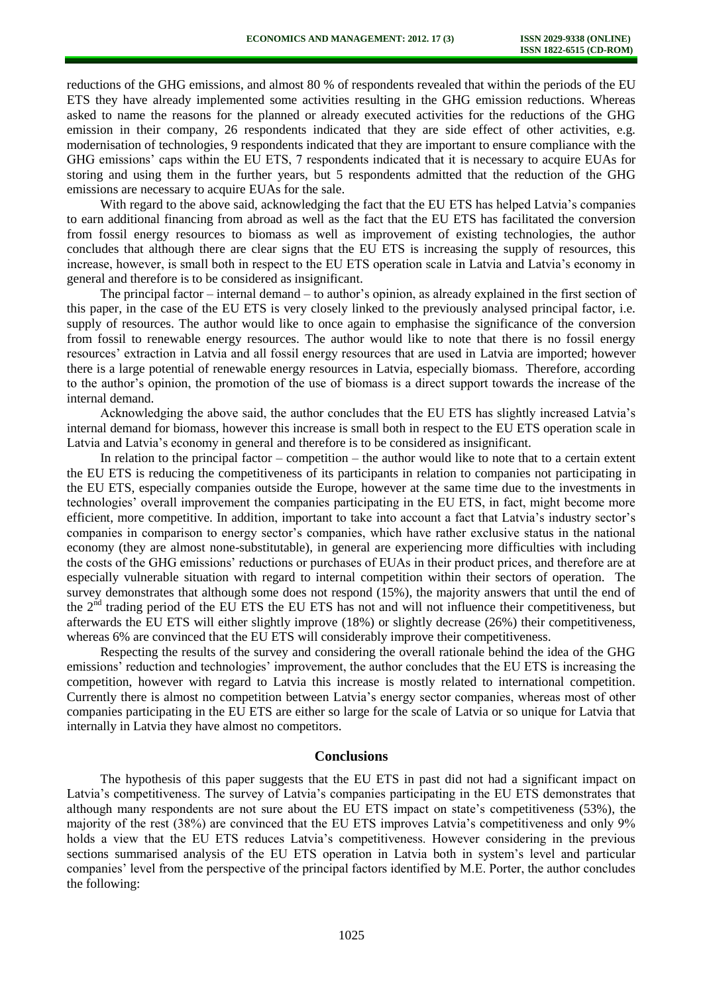reductions of the GHG emissions, and almost 80 % of respondents revealed that within the periods of the EU ETS they have already implemented some activities resulting in the GHG emission reductions. Whereas asked to name the reasons for the planned or already executed activities for the reductions of the GHG emission in their company, 26 respondents indicated that they are side effect of other activities, e.g. modernisation of technologies, 9 respondents indicated that they are important to ensure compliance with the GHG emissions' caps within the EU ETS, 7 respondents indicated that it is necessary to acquire EUAs for storing and using them in the further years, but 5 respondents admitted that the reduction of the GHG emissions are necessary to acquire EUAs for the sale.

With regard to the above said, acknowledging the fact that the EU ETS has helped Latvia's companies to earn additional financing from abroad as well as the fact that the EU ETS has facilitated the conversion from fossil energy resources to biomass as well as improvement of existing technologies, the author concludes that although there are clear signs that the EU ETS is increasing the supply of resources, this increase, however, is small both in respect to the EU ETS operation scale in Latvia and Latvia's economy in general and therefore is to be considered as insignificant.

The principal factor – internal demand – to author's opinion, as already explained in the first section of this paper, in the case of the EU ETS is very closely linked to the previously analysed principal factor, i.e. supply of resources. The author would like to once again to emphasise the significance of the conversion from fossil to renewable energy resources. The author would like to note that there is no fossil energy resources' extraction in Latvia and all fossil energy resources that are used in Latvia are imported; however there is a large potential of renewable energy resources in Latvia, especially biomass. Therefore, according to the author's opinion, the promotion of the use of biomass is a direct support towards the increase of the internal demand.

Acknowledging the above said, the author concludes that the EU ETS has slightly increased Latvia's internal demand for biomass, however this increase is small both in respect to the EU ETS operation scale in Latvia and Latvia's economy in general and therefore is to be considered as insignificant.

In relation to the principal factor – competition – the author would like to note that to a certain extent the EU ETS is reducing the competitiveness of its participants in relation to companies not participating in the EU ETS, especially companies outside the Europe, however at the same time due to the investments in technologies' overall improvement the companies participating in the EU ETS, in fact, might become more efficient, more competitive. In addition, important to take into account a fact that Latvia's industry sector's companies in comparison to energy sector's companies, which have rather exclusive status in the national economy (they are almost none-substitutable), in general are experiencing more difficulties with including the costs of the GHG emissions' reductions or purchases of EUAs in their product prices, and therefore are at especially vulnerable situation with regard to internal competition within their sectors of operation. The survey demonstrates that although some does not respond (15%), the majority answers that until the end of the  $2<sup>nd</sup>$  trading period of the EU ETS the EU ETS has not and will not influence their competitiveness, but afterwards the EU ETS will either slightly improve (18%) or slightly decrease (26%) their competitiveness, whereas 6% are convinced that the EU ETS will considerably improve their competitiveness.

Respecting the results of the survey and considering the overall rationale behind the idea of the GHG emissions' reduction and technologies' improvement, the author concludes that the EU ETS is increasing the competition, however with regard to Latvia this increase is mostly related to international competition. Currently there is almost no competition between Latvia's energy sector companies, whereas most of other companies participating in the EU ETS are either so large for the scale of Latvia or so unique for Latvia that internally in Latvia they have almost no competitors.

#### **Conclusions**

The hypothesis of this paper suggests that the EU ETS in past did not had a significant impact on Latvia's competitiveness. The survey of Latvia's companies participating in the EU ETS demonstrates that although many respondents are not sure about the EU ETS impact on state's competitiveness (53%), the majority of the rest (38%) are convinced that the EU ETS improves Latvia's competitiveness and only 9% holds a view that the EU ETS reduces Latvia's competitiveness. However considering in the previous sections summarised analysis of the EU ETS operation in Latvia both in system's level and particular companies' level from the perspective of the principal factors identified by M.E. Porter, the author concludes the following: